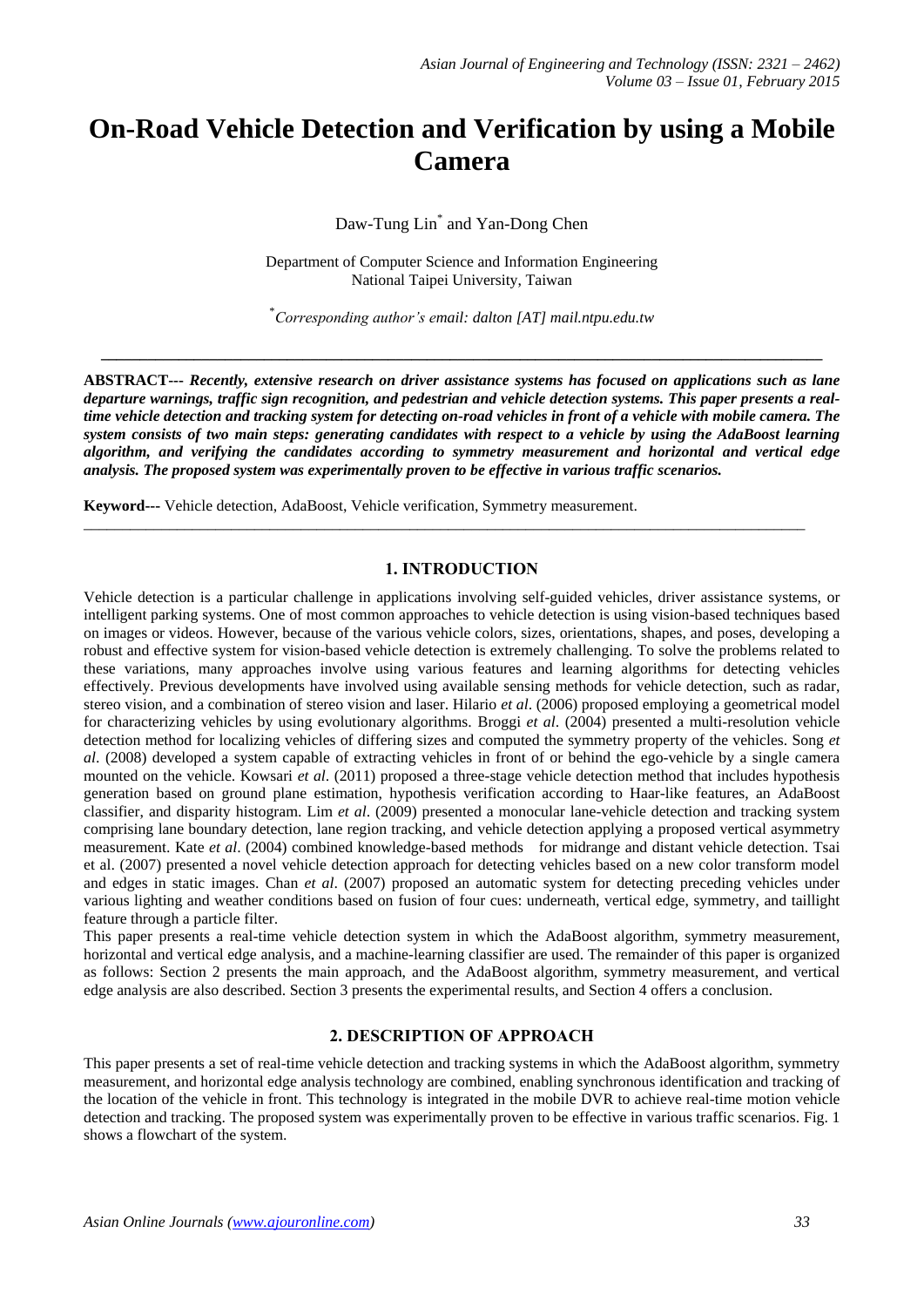# **On-Road Vehicle Detection and Verification by using a Mobile Camera**

Daw-Tung Lin\* and Yan-Dong Chen

Department of Computer Science and Information Engineering National Taipei University, Taiwan

\**Corresponding author's email: dalton [AT] mail.ntpu.edu.tw*

**\_\_\_\_\_\_\_\_\_\_\_\_\_\_\_\_\_\_\_\_\_\_\_\_\_\_\_\_\_\_\_\_\_\_\_\_\_\_\_\_\_\_\_\_\_\_\_\_\_\_\_\_\_\_\_\_\_\_\_\_\_\_\_\_\_\_\_\_\_\_\_\_\_\_\_\_\_\_\_\_\_\_\_\_\_\_\_\_\_\_\_\_\_**

**ABSTRACT---** *Recently, extensive research on driver assistance systems has focused on applications such as lane departure warnings, traffic sign recognition, and pedestrian and vehicle detection systems. This paper presents a realtime vehicle detection and tracking system for detecting on-road vehicles in front of a vehicle with mobile camera. The system consists of two main steps: generating candidates with respect to a vehicle by using the AdaBoost learning algorithm, and verifying the candidates according to symmetry measurement and horizontal and vertical edge analysis. The proposed system was experimentally proven to be effective in various traffic scenarios.*

**Keyword---** Vehicle detection, AdaBoost, Vehicle verification, Symmetry measurement.

### **1. INTRODUCTION**

\_\_\_\_\_\_\_\_\_\_\_\_\_\_\_\_\_\_\_\_\_\_\_\_\_\_\_\_\_\_\_\_\_\_\_\_\_\_\_\_\_\_\_\_\_\_\_\_\_\_\_\_\_\_\_\_\_\_\_\_\_\_\_\_\_\_\_\_\_\_\_\_\_\_\_\_\_\_\_\_\_\_\_\_\_\_\_\_\_\_\_\_\_

Vehicle detection is a particular challenge in applications involving self-guided vehicles, driver assistance systems, or intelligent parking systems. One of most common approaches to vehicle detection is using vision-based techniques based on images or videos. However, because of the various vehicle colors, sizes, orientations, shapes, and poses, developing a robust and effective system for vision-based vehicle detection is extremely challenging. To solve the problems related to these variations, many approaches involve using various features and learning algorithms for detecting vehicles effectively. Previous developments have involved using available sensing methods for vehicle detection, such as radar, stereo vision, and a combination of stereo vision and laser. Hilario *et al*. (2006) proposed employing a geometrical model for characterizing vehicles by using evolutionary algorithms. Broggi *et al*. (2004) presented a multi-resolution vehicle detection method for localizing vehicles of differing sizes and computed the symmetry property of the vehicles. Song *et al*. (2008) developed a system capable of extracting vehicles in front of or behind the ego-vehicle by a single camera mounted on the vehicle. Kowsari *et al*. (2011) proposed a three-stage vehicle detection method that includes hypothesis generation based on ground plane estimation, hypothesis verification according to Haar-like features, an AdaBoost classifier, and disparity histogram. Lim *et al*. (2009) presented a monocular lane-vehicle detection and tracking system comprising lane boundary detection, lane region tracking, and vehicle detection applying a proposed vertical asymmetry measurement. Kate *et al*. (2004) combined knowledge-based methods for midrange and distant vehicle detection. Tsai et al. (2007) presented a novel vehicle detection approach for detecting vehicles based on a new color transform model and edges in static images. Chan *et al*. (2007) proposed an automatic system for detecting preceding vehicles under various lighting and weather conditions based on fusion of four cues: underneath, vertical edge, symmetry, and taillight feature through a particle filter.

This paper presents a real-time vehicle detection system in which the AdaBoost algorithm, symmetry measurement, horizontal and vertical edge analysis, and a machine-learning classifier are used. The remainder of this paper is organized as follows: Section 2 presents the main approach, and the AdaBoost algorithm, symmetry measurement, and vertical edge analysis are also described. Section 3 presents the experimental results, and Section 4 offers a conclusion.

#### **2. DESCRIPTION OF APPROACH**

This paper presents a set of real-time vehicle detection and tracking systems in which the AdaBoost algorithm, symmetry measurement, and horizontal edge analysis technology are combined, enabling synchronous identification and tracking of the location of the vehicle in front. This technology is integrated in the mobile DVR to achieve real-time motion vehicle detection and tracking. The proposed system was experimentally proven to be effective in various traffic scenarios. Fig. 1 shows a flowchart of the system.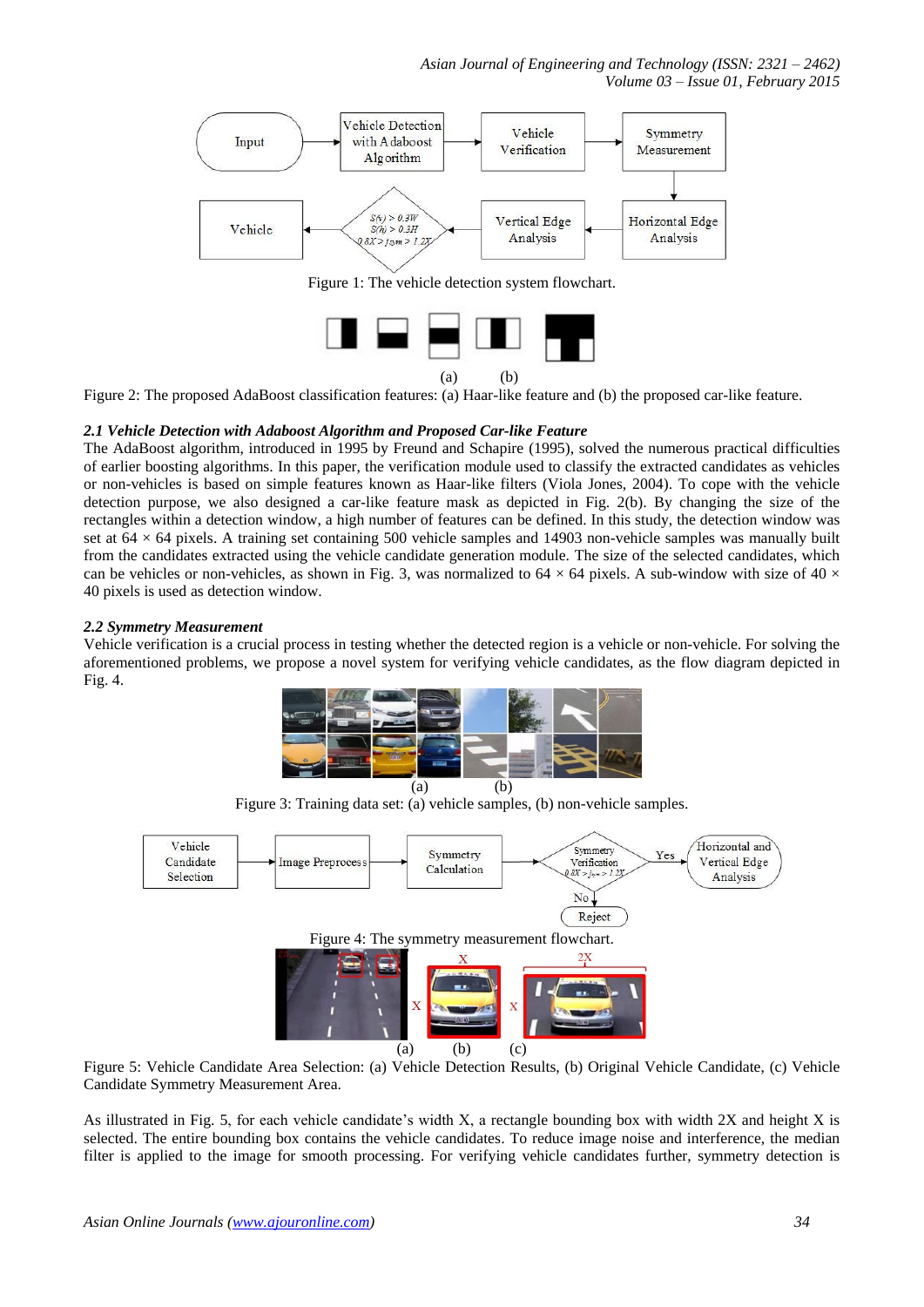



Figure 2: The proposed AdaBoost classification features: (a) Haar-like feature and (b) the proposed car-like feature.

#### *2.1 Vehicle Detection with Adaboost Algorithm and Proposed Car-like Feature*

The AdaBoost algorithm, introduced in 1995 by Freund and Schapire (1995), solved the numerous practical difficulties of earlier boosting algorithms. In this paper, the verification module used to classify the extracted candidates as vehicles or non-vehicles is based on simple features known as Haar-like filters (Viola Jones, 2004). To cope with the vehicle detection purpose, we also designed a car-like feature mask as depicted in Fig. 2(b). By changing the size of the rectangles within a detection window, a high number of features can be defined. In this study, the detection window was set at  $64 \times 64$  pixels. A training set containing 500 vehicle samples and 14903 non-vehicle samples was manually built from the candidates extracted using the vehicle candidate generation module. The size of the selected candidates, which can be vehicles or non-vehicles, as shown in Fig. 3, was normalized to  $64 \times 64$  pixels. A sub-window with size of  $40 \times$ 40 pixels is used as detection window.

#### *2.2 Symmetry Measurement*

Vehicle verification is a crucial process in testing whether the detected region is a vehicle or non-vehicle. For solving the aforementioned problems, we propose a novel system for verifying vehicle candidates, as the flow diagram depicted in Fig. 4.



Figure 3: Training data set: (a) vehicle samples, (b) non-vehicle samples.



Figure 5: Vehicle Candidate Area Selection: (a) Vehicle Detection Results, (b) Original Vehicle Candidate, (c) Vehicle Candidate Symmetry Measurement Area.

As illustrated in Fig. 5, for each vehicle candidate's width X, a rectangle bounding box with width 2X and height X is selected. The entire bounding box contains the vehicle candidates. To reduce image noise and interference, the median filter is applied to the image for smooth processing. For verifying vehicle candidates further, symmetry detection is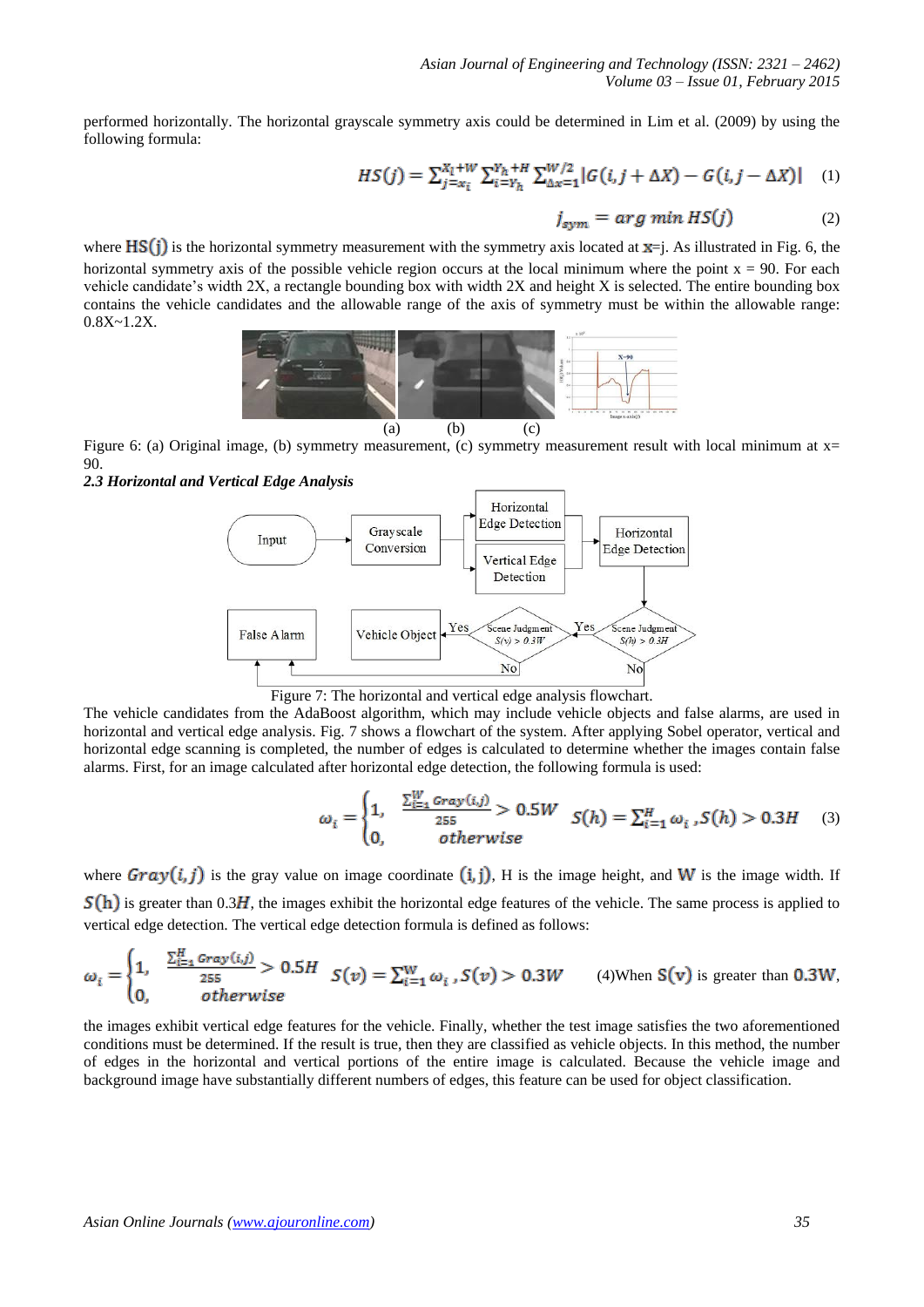performed horizontally. The horizontal grayscale symmetry axis could be determined in Lim et al. (2009) by using the following formula:

$$
HS(j) = \sum_{j=x_i}^{X_l+W} \sum_{i=Y_h}^{Y_h+H} \sum_{\Delta x=1}^{W/2} |G(i, j + \Delta X) - G(i, j - \Delta X)| \quad (1)
$$

$$
j_{sym} = arg min HS(j)
$$
 (2)

where  $\text{HS}(i)$  is the horizontal symmetry measurement with the symmetry axis located at  $x = i$ . As illustrated in Fig. 6, the horizontal symmetry axis of the possible vehicle region occurs at the local minimum where the point  $x = 90$ . For each vehicle candidate's width 2X, a rectangle bounding box with width 2X and height X is selected. The entire bounding box contains the vehicle candidates and the allowable range of the axis of symmetry must be within the allowable range: 0.8X~1.2X.



Figure 6: (a) Original image, (b) symmetry measurement, (c) symmetry measurement result with local minimum at x= 90.

*2.3 Horizontal and Vertical Edge Analysis*





The vehicle candidates from the AdaBoost algorithm, which may include vehicle objects and false alarms, are used in horizontal and vertical edge analysis. Fig. 7 shows a flowchart of the system. After applying Sobel operator, vertical and horizontal edge scanning is completed, the number of edges is calculated to determine whether the images contain false alarms. First, for an image calculated after horizontal edge detection, the following formula is used:

$$
\omega_i = \begin{cases} 1, & \frac{\sum_{i=1}^{W} \text{Gray}(i,j)}{255} > 0.5W \\ 0, & \text{otherwise} \end{cases} \quad S(h) = \sum_{i=1}^{H} \omega_i \, S(h) > 0.3H \quad (3)
$$

where  $Grav(i, j)$  is the gray value on image coordinate (i, j). H is the image height, and W is the image width. If  $S(h)$  is greater than 0.3H, the images exhibit the horizontal edge features of the vehicle. The same process is applied to vertical edge detection. The vertical edge detection formula is defined as follows:

$$
\omega_i = \begin{cases} 1, & \frac{\sum_{i=1}^H \text{Gray}(i,j)}{255} > 0.5H \\ 0, & \text{otherwise} \end{cases} \quad S(v) = \sum_{i=1}^W \omega_i \text{ , } S(v) > 0.3W \quad (4) \text{When } S(v) \text{ is greater than } 0.3W,
$$

the images exhibit vertical edge features for the vehicle. Finally, whether the test image satisfies the two aforementioned conditions must be determined. If the result is true, then they are classified as vehicle objects. In this method, the number of edges in the horizontal and vertical portions of the entire image is calculated. Because the vehicle image and background image have substantially different numbers of edges, this feature can be used for object classification.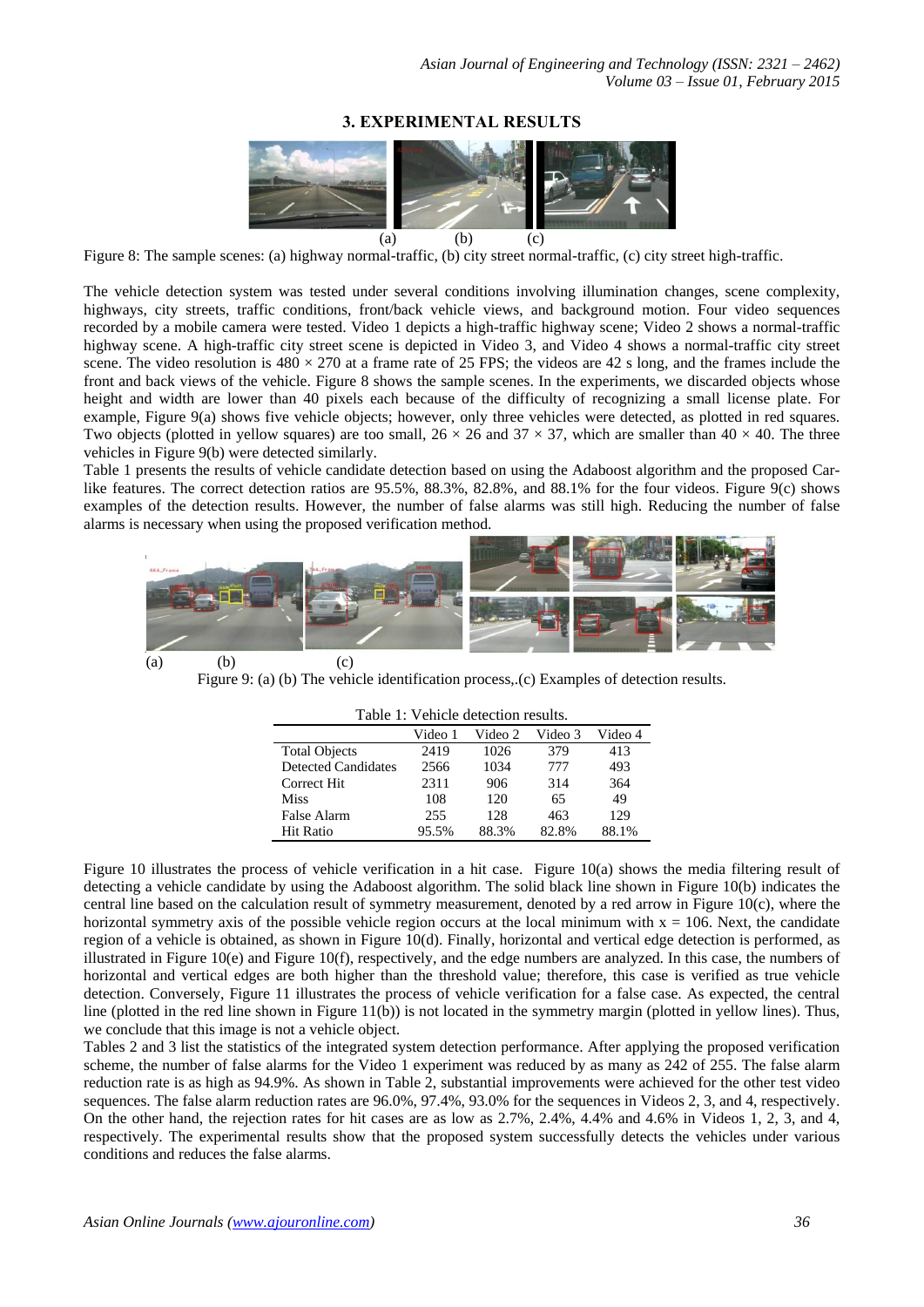## **3. EXPERIMENTAL RESULTS**



Figure 8: The sample scenes: (a) highway normal-traffic, (b) city street normal-traffic, (c) city street high-traffic.

The vehicle detection system was tested under several conditions involving illumination changes, scene complexity, highways, city streets, traffic conditions, front/back vehicle views, and background motion. Four video sequences recorded by a mobile camera were tested. Video 1 depicts a high-traffic highway scene; Video 2 shows a normal-traffic highway scene. A high-traffic city street scene is depicted in Video 3, and Video 4 shows a normal-traffic city street scene. The video resolution is  $480 \times 270$  at a frame rate of 25 FPS; the videos are 42 s long, and the frames include the front and back views of the vehicle. Figure 8 shows the sample scenes. In the experiments, we discarded objects whose height and width are lower than 40 pixels each because of the difficulty of recognizing a small license plate. For example, Figure 9(a) shows five vehicle objects; however, only three vehicles were detected, as plotted in red squares. Two objects (plotted in yellow squares) are too small,  $26 \times 26$  and  $37 \times 37$ , which are smaller than  $40 \times 40$ . The three vehicles in Figure 9(b) were detected similarly.

Table 1 presents the results of vehicle candidate detection based on using the Adaboost algorithm and the proposed Carlike features. The correct detection ratios are 95.5%, 88.3%, 82.8%, and 88.1% for the four videos. Figure 9(c) shows examples of the detection results. However, the number of false alarms was still high. Reducing the number of false alarms is necessary when using the proposed verification method.



Figure 9: (a) (b) The vehicle identification process,.(c) Examples of detection results.

| Table 1: Venicle detection results. |         |         |         |         |
|-------------------------------------|---------|---------|---------|---------|
|                                     | Video 1 | Video 2 | Video 3 | Video 4 |
| <b>Total Objects</b>                | 2419    | 1026    | 379     | 413     |
| <b>Detected Candidates</b>          | 2566    | 1034    | 777     | 493     |
| Correct Hit                         | 2311    | 906     | 314     | 364     |
| <b>Miss</b>                         | 108     | 120     | 65      | 49      |
| False Alarm                         | 255     | 128     | 463     | 129     |
| <b>Hit Ratio</b>                    | 95.5%   | 88.3%   | 82.8%   | 88.1%   |

 $T$  to  $T$  is verified to  $\mathcal{C}$ 

Figure 10 illustrates the process of vehicle verification in a hit case. Figure 10(a) shows the media filtering result of detecting a vehicle candidate by using the Adaboost algorithm. The solid black line shown in Figure 10(b) indicates the central line based on the calculation result of symmetry measurement, denoted by a red arrow in Figure 10(c), where the horizontal symmetry axis of the possible vehicle region occurs at the local minimum with  $x = 106$ . Next, the candidate region of a vehicle is obtained, as shown in Figure 10(d). Finally, horizontal and vertical edge detection is performed, as illustrated in Figure 10(e) and Figure 10(f), respectively, and the edge numbers are analyzed. In this case, the numbers of horizontal and vertical edges are both higher than the threshold value; therefore, this case is verified as true vehicle detection. Conversely, Figure 11 illustrates the process of vehicle verification for a false case. As expected, the central line (plotted in the red line shown in Figure 11(b)) is not located in the symmetry margin (plotted in yellow lines). Thus, we conclude that this image is not a vehicle object.

Tables 2 and 3 list the statistics of the integrated system detection performance. After applying the proposed verification scheme, the number of false alarms for the Video 1 experiment was reduced by as many as 242 of 255. The false alarm reduction rate is as high as 94.9%. As shown in Table 2, substantial improvements were achieved for the other test video sequences. The false alarm reduction rates are 96.0%, 97.4%, 93.0% for the sequences in Videos 2, 3, and 4, respectively. On the other hand, the rejection rates for hit cases are as low as 2.7%, 2.4%, 4.4% and 4.6% in Videos 1, 2, 3, and 4, respectively. The experimental results show that the proposed system successfully detects the vehicles under various conditions and reduces the false alarms.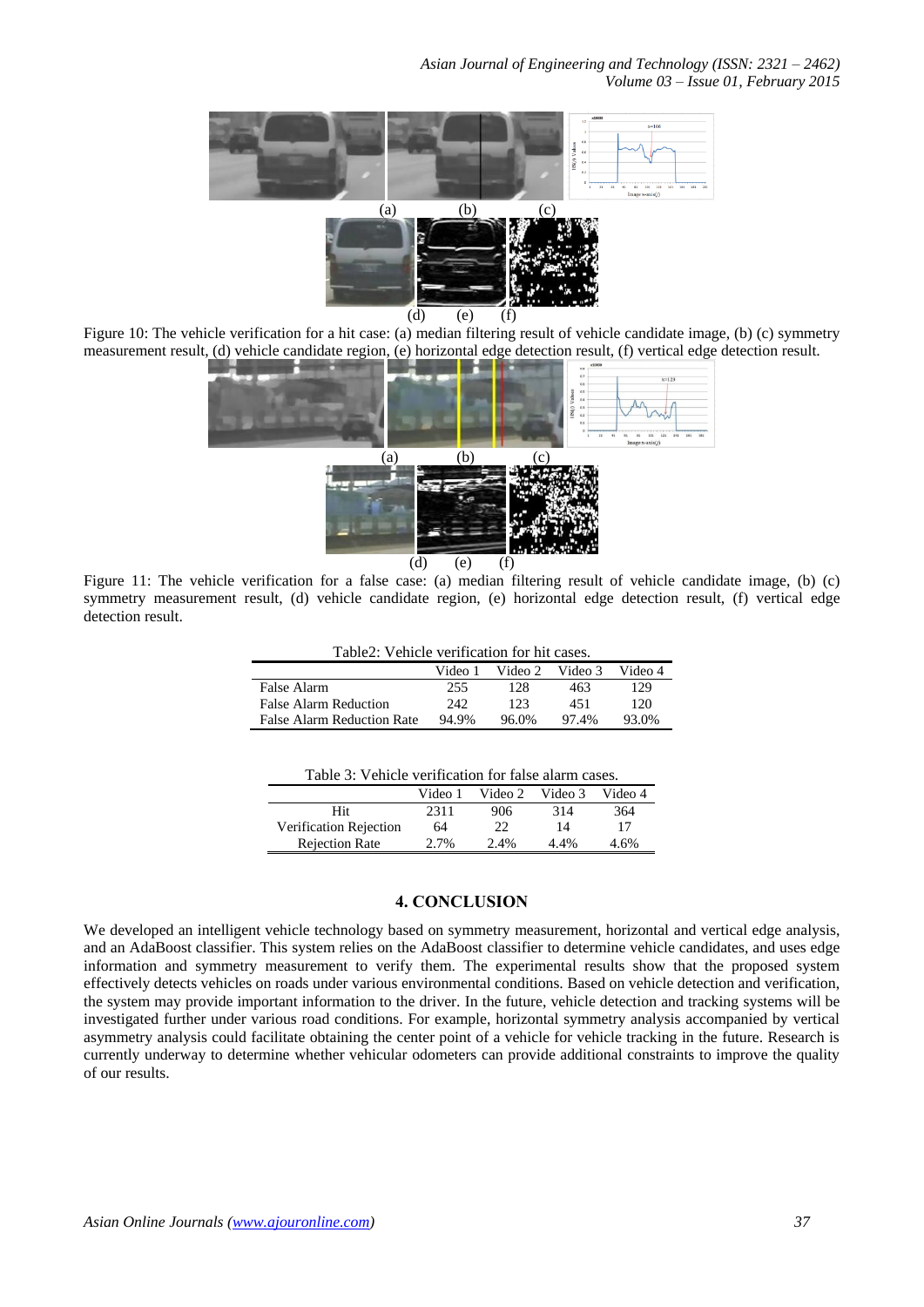

Figure 10: The vehicle verification for a hit case: (a) median filtering result of vehicle candidate image, (b) (c) symmetry measurement result, (d) vehicle candidate region, (e) horizontal edge detection result, (f) vertical edge detection result.



Figure 11: The vehicle verification for a false case: (a) median filtering result of vehicle candidate image, (b) (c) symmetry measurement result, (d) vehicle candidate region, (e) horizontal edge detection result, (f) vertical edge detection result.

|  | Table2: Vehicle verification for hit cases. |  |
|--|---------------------------------------------|--|
|  |                                             |  |
|  |                                             |  |

|                            | Video 1 | Video 2 | Video 3 | Video 4 |
|----------------------------|---------|---------|---------|---------|
| False Alarm                | 255     | 128     | 463     | 129     |
| False Alarm Reduction      | 242     | 123     | 451     | 120     |
| False Alarm Reduction Rate | 94.9%   | 96.0%   | 97.4%   | 93.0%   |

|  |  |  |  | Table 3: Vehicle verification for false alarm cases. |  |
|--|--|--|--|------------------------------------------------------|--|
|--|--|--|--|------------------------------------------------------|--|

|                        | Video 1 | Video 2 | Video 3 | Video 4 |
|------------------------|---------|---------|---------|---------|
| Hit                    | 2311    | 906     | 314     | 364     |
| Verification Rejection | 64      | 22      | 14      |         |
| <b>Rejection Rate</b>  | 2.7%    | $2.4\%$ | 4.4%    | 4.6%    |

#### **4. CONCLUSION**

We developed an intelligent vehicle technology based on symmetry measurement, horizontal and vertical edge analysis, and an AdaBoost classifier. This system relies on the AdaBoost classifier to determine vehicle candidates, and uses edge information and symmetry measurement to verify them. The experimental results show that the proposed system effectively detects vehicles on roads under various environmental conditions. Based on vehicle detection and verification, the system may provide important information to the driver. In the future, vehicle detection and tracking systems will be investigated further under various road conditions. For example, horizontal symmetry analysis accompanied by vertical asymmetry analysis could facilitate obtaining the center point of a vehicle for vehicle tracking in the future. Research is currently underway to determine whether vehicular odometers can provide additional constraints to improve the quality of our results.